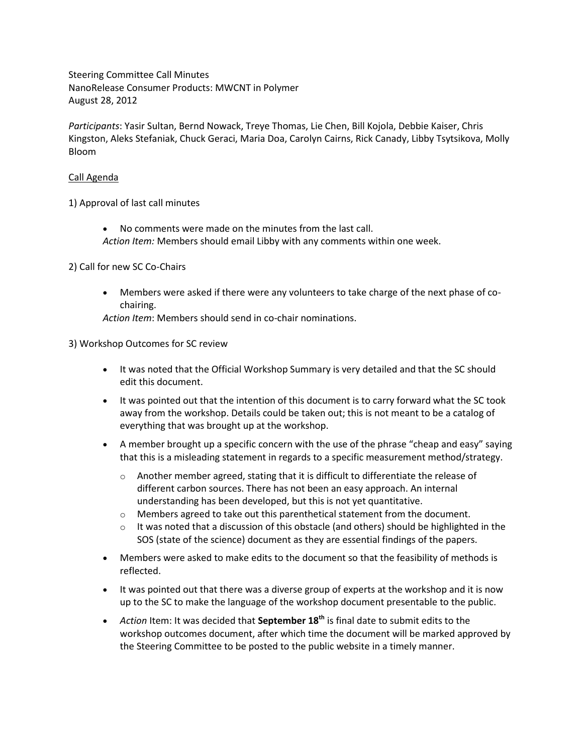Steering Committee Call Minutes NanoRelease Consumer Products: MWCNT in Polymer August 28, 2012

*Participants*: Yasir Sultan, Bernd Nowack, Treye Thomas, Lie Chen, Bill Kojola, Debbie Kaiser, Chris Kingston, Aleks Stefaniak, Chuck Geraci, Maria Doa, Carolyn Cairns, Rick Canady, Libby Tsytsikova, Molly Bloom

### Call Agenda

1) Approval of last call minutes

 No comments were made on the minutes from the last call. *Action Item:* Members should email Libby with any comments within one week.

#### 2) Call for new SC Co-Chairs

 Members were asked if there were any volunteers to take charge of the next phase of cochairing.

*Action Item*: Members should send in co-chair nominations.

#### 3) Workshop Outcomes for SC review

- It was noted that the Official Workshop Summary is very detailed and that the SC should edit this document.
- It was pointed out that the intention of this document is to carry forward what the SC took away from the workshop. Details could be taken out; this is not meant to be a catalog of everything that was brought up at the workshop.
- A member brought up a specific concern with the use of the phrase "cheap and easy" saying that this is a misleading statement in regards to a specific measurement method/strategy.
	- $\circ$  Another member agreed, stating that it is difficult to differentiate the release of different carbon sources. There has not been an easy approach. An internal understanding has been developed, but this is not yet quantitative.
	- $\circ$  Members agreed to take out this parenthetical statement from the document.
	- $\circ$  It was noted that a discussion of this obstacle (and others) should be highlighted in the SOS (state of the science) document as they are essential findings of the papers.
- Members were asked to make edits to the document so that the feasibility of methods is reflected.
- It was pointed out that there was a diverse group of experts at the workshop and it is now up to the SC to make the language of the workshop document presentable to the public.
- *Action* Item: It was decided that **September 18th** is final date to submit edits to the workshop outcomes document, after which time the document will be marked approved by the Steering Committee to be posted to the public website in a timely manner.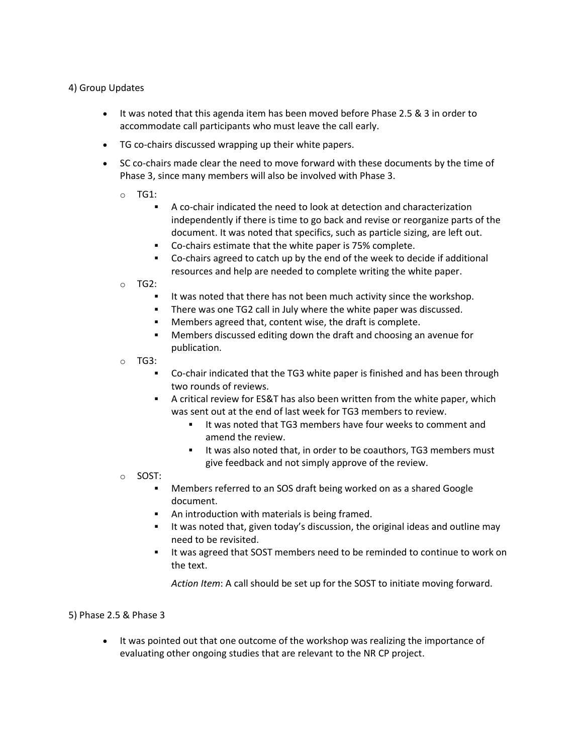# 4) Group Updates

- It was noted that this agenda item has been moved before Phase 2.5 & 3 in order to accommodate call participants who must leave the call early.
- TG co-chairs discussed wrapping up their white papers.
- SC co-chairs made clear the need to move forward with these documents by the time of Phase 3, since many members will also be involved with Phase 3.
	- o TG1:
		- A co-chair indicated the need to look at detection and characterization independently if there is time to go back and revise or reorganize parts of the document. It was noted that specifics, such as particle sizing, are left out.
		- Co-chairs estimate that the white paper is 75% complete.
		- Co-chairs agreed to catch up by the end of the week to decide if additional resources and help are needed to complete writing the white paper.
	- o TG2:
		- It was noted that there has not been much activity since the workshop.
		- There was one TG2 call in July where the white paper was discussed.
		- Members agreed that, content wise, the draft is complete.
		- Members discussed editing down the draft and choosing an avenue for publication.
	- o TG3:
		- Co-chair indicated that the TG3 white paper is finished and has been through two rounds of reviews.
		- A critical review for ES&T has also been written from the white paper, which was sent out at the end of last week for TG3 members to review.
			- If was noted that TG3 members have four weeks to comment and amend the review.
			- It was also noted that, in order to be coauthors, TG3 members must give feedback and not simply approve of the review.
	- o SOST:
		- Members referred to an SOS draft being worked on as a shared Google document.
		- An introduction with materials is being framed.
		- It was noted that, given today's discussion, the original ideas and outline may need to be revisited.
		- It was agreed that SOST members need to be reminded to continue to work on the text.

*Action Item*: A call should be set up for the SOST to initiate moving forward.

# 5) Phase 2.5 & Phase 3

 It was pointed out that one outcome of the workshop was realizing the importance of evaluating other ongoing studies that are relevant to the NR CP project.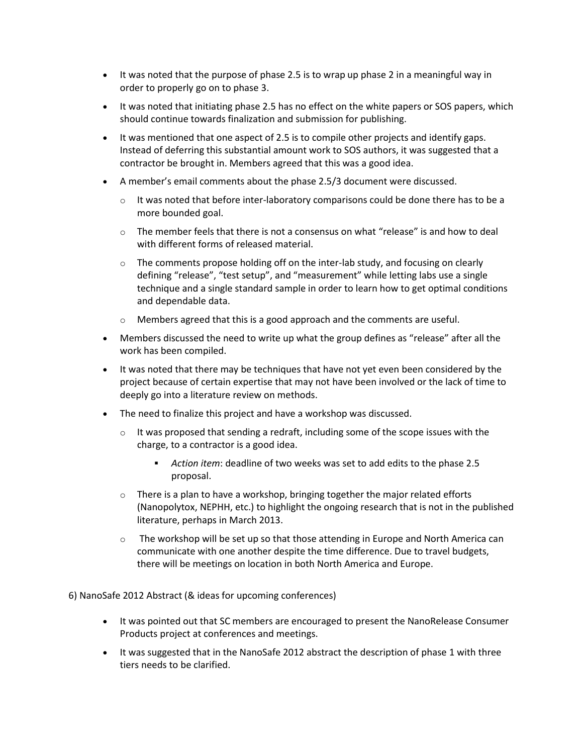- It was noted that the purpose of phase 2.5 is to wrap up phase 2 in a meaningful way in order to properly go on to phase 3.
- It was noted that initiating phase 2.5 has no effect on the white papers or SOS papers, which should continue towards finalization and submission for publishing.
- $\bullet$  It was mentioned that one aspect of 2.5 is to compile other projects and identify gaps. Instead of deferring this substantial amount work to SOS authors, it was suggested that a contractor be brought in. Members agreed that this was a good idea.
- A member's email comments about the phase 2.5/3 document were discussed.
	- $\circ$  It was noted that before inter-laboratory comparisons could be done there has to be a more bounded goal.
	- $\circ$  The member feels that there is not a consensus on what "release" is and how to deal with different forms of released material.
	- $\circ$  The comments propose holding off on the inter-lab study, and focusing on clearly defining "release", "test setup", and "measurement" while letting labs use a single technique and a single standard sample in order to learn how to get optimal conditions and dependable data.
	- o Members agreed that this is a good approach and the comments are useful.
- Members discussed the need to write up what the group defines as "release" after all the work has been compiled.
- It was noted that there may be techniques that have not yet even been considered by the project because of certain expertise that may not have been involved or the lack of time to deeply go into a literature review on methods.
- The need to finalize this project and have a workshop was discussed.
	- $\circ$  It was proposed that sending a redraft, including some of the scope issues with the charge, to a contractor is a good idea.
		- *Action item*: deadline of two weeks was set to add edits to the phase 2.5 proposal.
	- $\circ$  There is a plan to have a workshop, bringing together the major related efforts (Nanopolytox, NEPHH, etc.) to highlight the ongoing research that is not in the published literature, perhaps in March 2013.
	- $\circ$  The workshop will be set up so that those attending in Europe and North America can communicate with one another despite the time difference. Due to travel budgets, there will be meetings on location in both North America and Europe.

6) NanoSafe 2012 Abstract (& ideas for upcoming conferences)

- It was pointed out that SC members are encouraged to present the NanoRelease Consumer Products project at conferences and meetings.
- It was suggested that in the NanoSafe 2012 abstract the description of phase 1 with three tiers needs to be clarified.